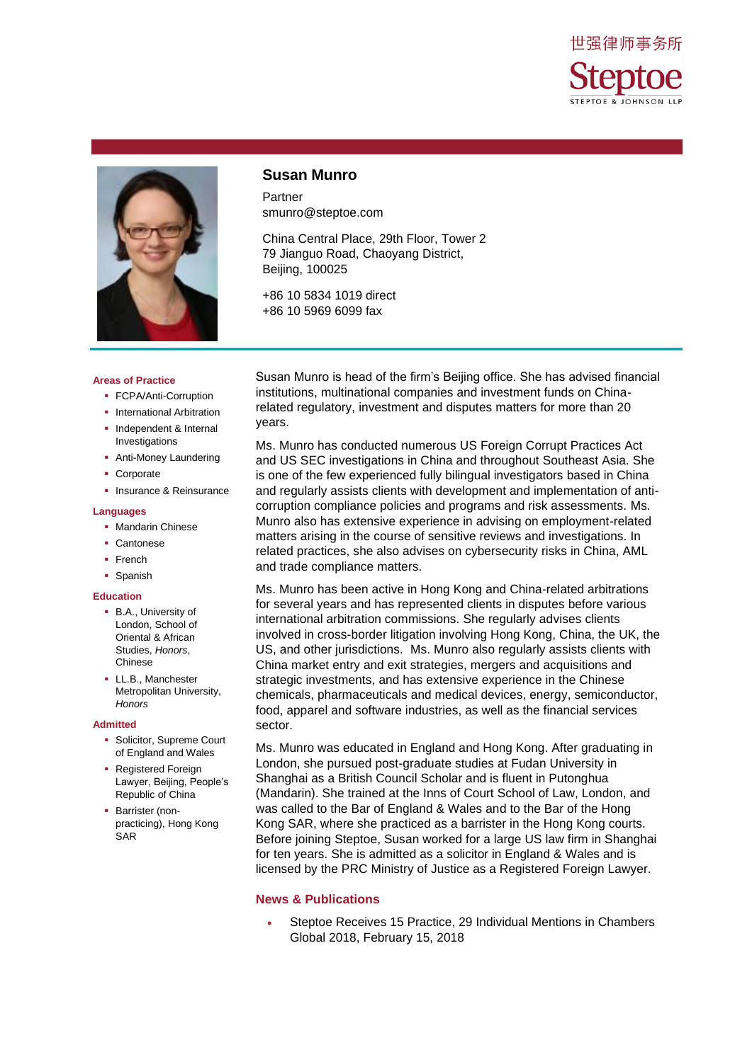



### **Susan Munro**

Partner smunro@steptoe.com

China Central Place, 29th Floor, Tower 2 79 Jianguo Road, Chaoyang District, Beijing, 100025

+86 10 5834 1019 direct +86 10 5969 6099 fax

**Areas of Practice**

- **FCPA/Anti-Corruption**
- **International Arbitration**
- **Independent & Internal** Investigations
- **-** Anti-Money Laundering
- **Corporate**
- **Insurance & Reinsurance**

#### **Languages**

- **Mandarin Chinese**
- Cantonese
- French
- **Spanish**

#### **Education**

- **B.A., University of** London, School of Oriental & African Studies, *Honors*, Chinese
- LL.B., Manchester Metropolitan University, *Honors*

#### **Admitted**

- **Solicitor, Supreme Court** of England and Wales
- Registered Foreign Lawyer, Beijing, People's Republic of China
- **Barrister (non**practicing), Hong Kong SAR

Susan Munro is head of the firm's Beijing office. She has advised financial institutions, multinational companies and investment funds on Chinarelated regulatory, investment and disputes matters for more than 20 years.

Ms. Munro has conducted numerous US Foreign Corrupt Practices Act and US SEC investigations in China and throughout Southeast Asia. She is one of the few experienced fully bilingual investigators based in China and regularly assists clients with development and implementation of anticorruption compliance policies and programs and risk assessments. Ms. Munro also has extensive experience in advising on employment-related matters arising in the course of sensitive reviews and investigations. In related practices, she also advises on cybersecurity risks in China, AML and trade compliance matters.

Ms. Munro has been active in Hong Kong and China-related arbitrations for several years and has represented clients in disputes before various international arbitration commissions. She regularly advises clients involved in cross-border litigation involving Hong Kong, China, the UK, the US, and other jurisdictions. Ms. Munro also regularly assists clients with China market entry and exit strategies, mergers and acquisitions and strategic investments, and has extensive experience in the Chinese chemicals, pharmaceuticals and medical devices, energy, semiconductor, food, apparel and software industries, as well as the financial services sector.

Ms. Munro was educated in England and Hong Kong. After graduating in London, she pursued post-graduate studies at Fudan University in Shanghai as a British Council Scholar and is fluent in Putonghua (Mandarin). She trained at the Inns of Court School of Law, London, and was called to the Bar of England & Wales and to the Bar of the Hong Kong SAR, where she practiced as a barrister in the Hong Kong courts. Before joining Steptoe, Susan worked for a large US law firm in Shanghai for ten years. She is admitted as a solicitor in England & Wales and is licensed by the PRC Ministry of Justice as a Registered Foreign Lawyer.

#### **News & Publications**

 Steptoe Receives 15 Practice, 29 Individual Mentions in Chambers Global 2018, February 15, 2018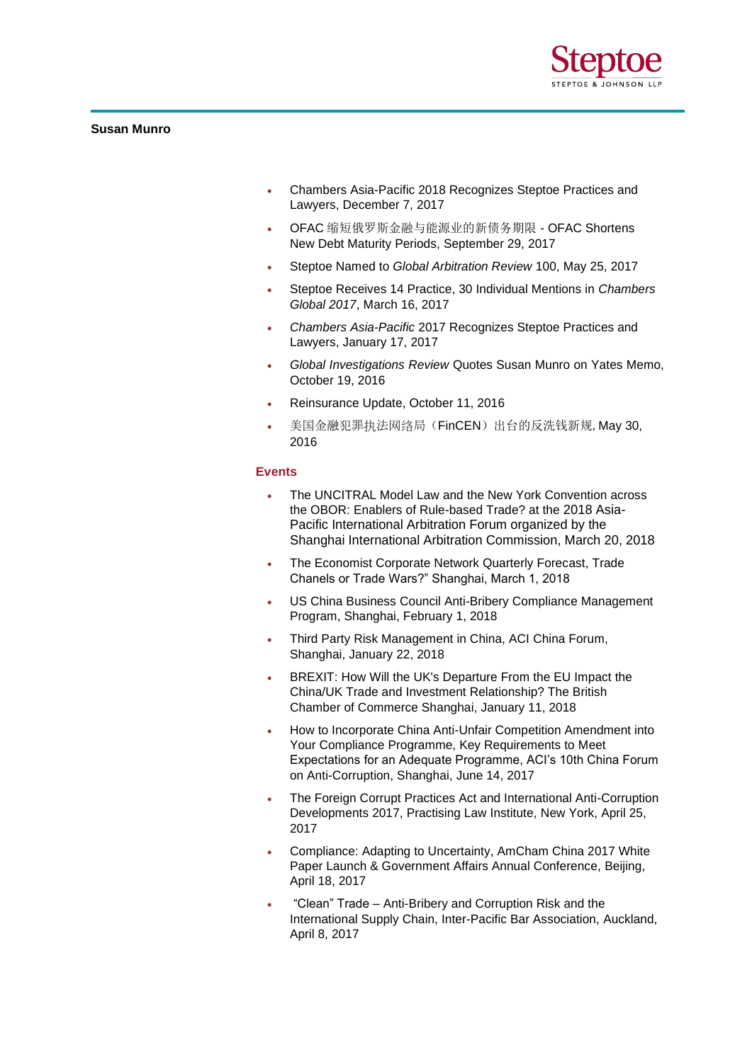

## **Susan Munro**

- Chambers Asia-Pacific 2018 Recognizes Steptoe Practices and Lawyers, December 7, 2017
- OFAC 缩短俄罗斯金融与能源业的新债务期限 OFAC Shortens New Debt Maturity Periods, September 29, 2017
- Steptoe Named to *Global Arbitration Review* 100, May 25, 2017
- Steptoe Receives 14 Practice, 30 Individual Mentions in *Chambers Global 2017*, March 16, 2017
- *Chambers Asia-Pacific* 2017 Recognizes Steptoe Practices and Lawyers, January 17, 2017
- *Global Investigations Review* Quotes Susan Munro on Yates Memo, October 19, 2016
- Reinsurance Update, October 11, 2016
- 美国金融犯罪执法网络局(FinCEN)出台的反洗钱新规, May 30, 2016

#### **Events**

- The UNCITRAL Model Law and the New York Convention across the OBOR: Enablers of Rule-based Trade? at the 2018 Asia-Pacific International Arbitration Forum organized by the Shanghai International Arbitration Commission, March 20, 2018
- The Economist Corporate Network Quarterly Forecast, Trade Chanels or Trade Wars?" Shanghai, March 1, 2018
- US China Business Council Anti-Bribery Compliance Management Program, Shanghai, February 1, 2018
- Third Party Risk Management in China, ACI China Forum, Shanghai, January 22, 2018
- BREXIT: How Will the UK's Departure From the EU Impact the China/UK Trade and Investment Relationship? The British Chamber of Commerce Shanghai, January 11, 2018
- How to Incorporate China Anti-Unfair Competition Amendment into Your Compliance Programme, Key Requirements to Meet Expectations for an Adequate Programme, ACI's 10th China Forum on Anti-Corruption, Shanghai, June 14, 2017
- The Foreign Corrupt Practices Act and International Anti-Corruption Developments 2017, Practising Law Institute, New York, April 25, 2017
- Compliance: Adapting to Uncertainty, AmCham China 2017 White Paper Launch & Government Affairs Annual Conference, Beijing, April 18, 2017
- "Clean" Trade Anti-Bribery and Corruption Risk and the International Supply Chain, Inter-Pacific Bar Association, Auckland, April 8, 2017